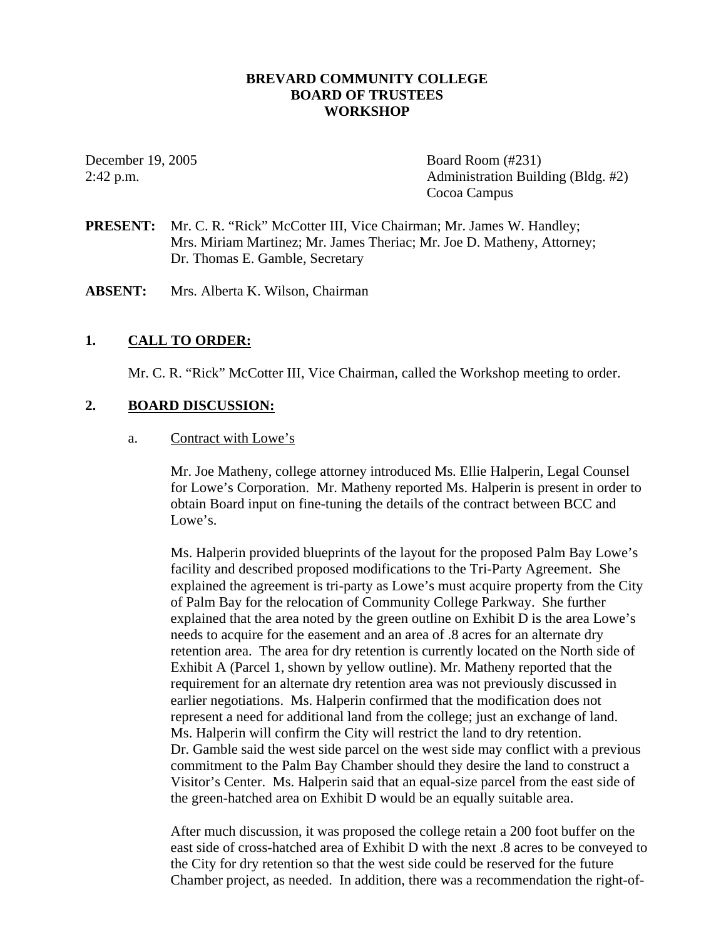## **BREVARD COMMUNITY COLLEGE BOARD OF TRUSTEES WORKSHOP**

December 19, 2005 Board Room (#231) 2:42 p.m. Administration Building (Bldg. #2) Cocoa Campus

- **PRESENT:** Mr. C. R. "Rick" McCotter III, Vice Chairman; Mr. James W. Handley; Mrs. Miriam Martinez; Mr. James Theriac; Mr. Joe D. Matheny, Attorney; Dr. Thomas E. Gamble, Secretary
- **ABSENT:** Mrs. Alberta K. Wilson, Chairman

# **1. CALL TO ORDER:**

Mr. C. R. "Rick" McCotter III, Vice Chairman, called the Workshop meeting to order.

## **2. BOARD DISCUSSION:**

#### a. Contract with Lowe's

Mr. Joe Matheny, college attorney introduced Ms. Ellie Halperin, Legal Counsel for Lowe's Corporation. Mr. Matheny reported Ms. Halperin is present in order to obtain Board input on fine-tuning the details of the contract between BCC and Lowe's.

Ms. Halperin provided blueprints of the layout for the proposed Palm Bay Lowe's facility and described proposed modifications to the Tri-Party Agreement. She explained the agreement is tri-party as Lowe's must acquire property from the City of Palm Bay for the relocation of Community College Parkway. She further explained that the area noted by the green outline on Exhibit D is the area Lowe's needs to acquire for the easement and an area of .8 acres for an alternate dry retention area. The area for dry retention is currently located on the North side of Exhibit A (Parcel 1, shown by yellow outline). Mr. Matheny reported that the requirement for an alternate dry retention area was not previously discussed in earlier negotiations. Ms. Halperin confirmed that the modification does not represent a need for additional land from the college; just an exchange of land. Ms. Halperin will confirm the City will restrict the land to dry retention. Dr. Gamble said the west side parcel on the west side may conflict with a previous commitment to the Palm Bay Chamber should they desire the land to construct a Visitor's Center. Ms. Halperin said that an equal-size parcel from the east side of the green-hatched area on Exhibit D would be an equally suitable area.

After much discussion, it was proposed the college retain a 200 foot buffer on the east side of cross-hatched area of Exhibit D with the next .8 acres to be conveyed to the City for dry retention so that the west side could be reserved for the future Chamber project, as needed. In addition, there was a recommendation the right-of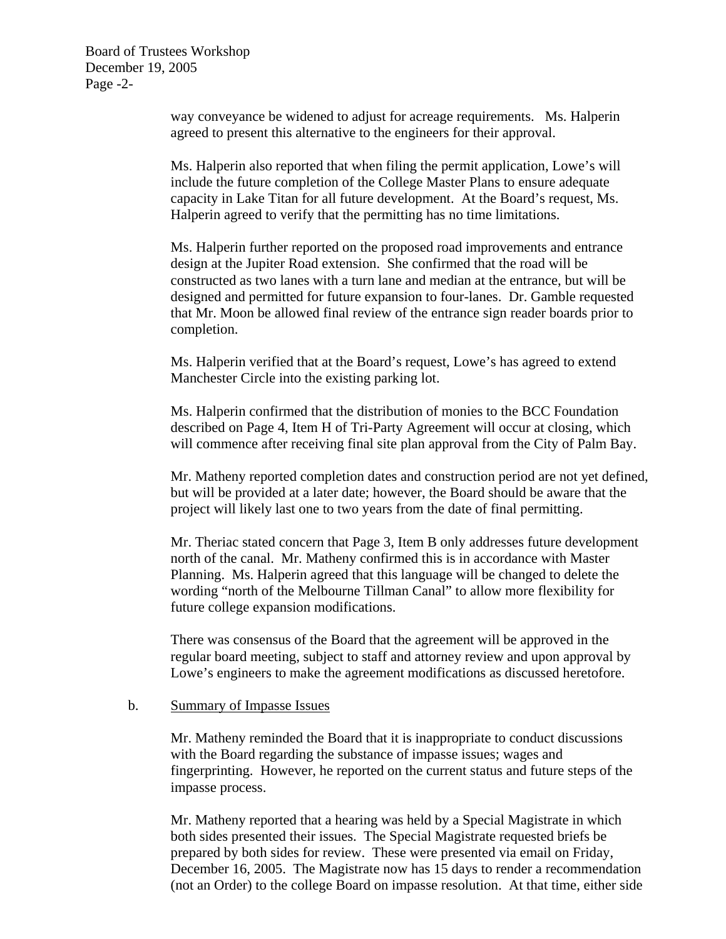Board of Trustees Workshop December 19, 2005 Page -2-

> way conveyance be widened to adjust for acreage requirements. Ms. Halperin agreed to present this alternative to the engineers for their approval.

> Ms. Halperin also reported that when filing the permit application, Lowe's will include the future completion of the College Master Plans to ensure adequate capacity in Lake Titan for all future development. At the Board's request, Ms. Halperin agreed to verify that the permitting has no time limitations.

Ms. Halperin further reported on the proposed road improvements and entrance design at the Jupiter Road extension. She confirmed that the road will be constructed as two lanes with a turn lane and median at the entrance, but will be designed and permitted for future expansion to four-lanes. Dr. Gamble requested that Mr. Moon be allowed final review of the entrance sign reader boards prior to completion.

Ms. Halperin verified that at the Board's request, Lowe's has agreed to extend Manchester Circle into the existing parking lot.

Ms. Halperin confirmed that the distribution of monies to the BCC Foundation described on Page 4, Item H of Tri-Party Agreement will occur at closing, which will commence after receiving final site plan approval from the City of Palm Bay.

Mr. Matheny reported completion dates and construction period are not yet defined, but will be provided at a later date; however, the Board should be aware that the project will likely last one to two years from the date of final permitting.

Mr. Theriac stated concern that Page 3, Item B only addresses future development north of the canal. Mr. Matheny confirmed this is in accordance with Master Planning. Ms. Halperin agreed that this language will be changed to delete the wording "north of the Melbourne Tillman Canal" to allow more flexibility for future college expansion modifications.

There was consensus of the Board that the agreement will be approved in the regular board meeting, subject to staff and attorney review and upon approval by Lowe's engineers to make the agreement modifications as discussed heretofore.

#### b. Summary of Impasse Issues

Mr. Matheny reminded the Board that it is inappropriate to conduct discussions with the Board regarding the substance of impasse issues; wages and fingerprinting. However, he reported on the current status and future steps of the impasse process.

Mr. Matheny reported that a hearing was held by a Special Magistrate in which both sides presented their issues. The Special Magistrate requested briefs be prepared by both sides for review. These were presented via email on Friday, December 16, 2005. The Magistrate now has 15 days to render a recommendation (not an Order) to the college Board on impasse resolution. At that time, either side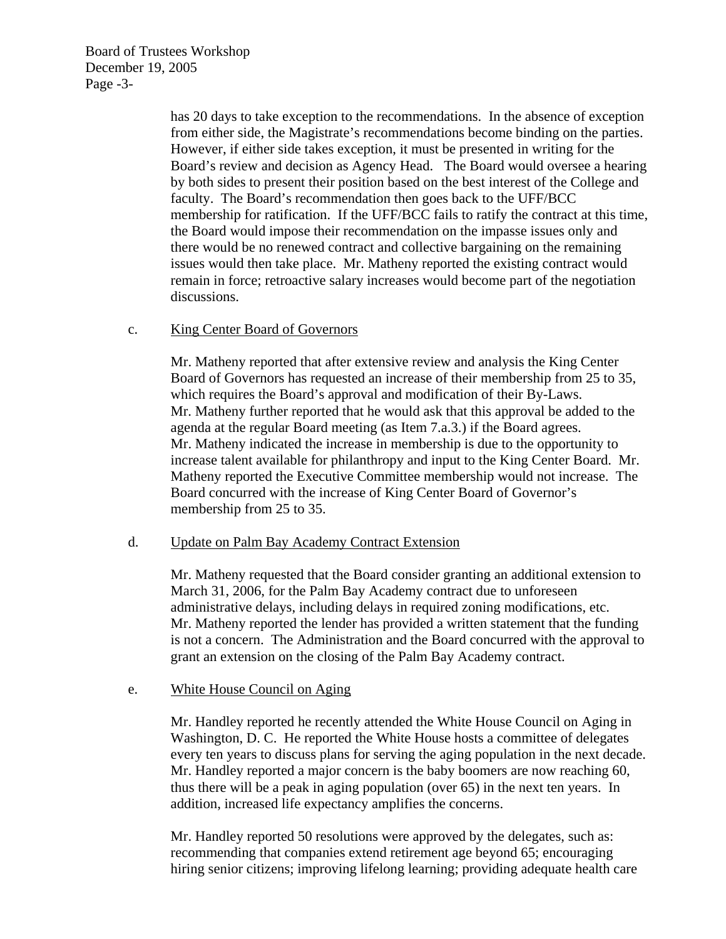Board of Trustees Workshop December 19, 2005 Page -3-

> has 20 days to take exception to the recommendations. In the absence of exception from either side, the Magistrate's recommendations become binding on the parties. However, if either side takes exception, it must be presented in writing for the Board's review and decision as Agency Head. The Board would oversee a hearing by both sides to present their position based on the best interest of the College and faculty. The Board's recommendation then goes back to the UFF/BCC membership for ratification. If the UFF/BCC fails to ratify the contract at this time, the Board would impose their recommendation on the impasse issues only and there would be no renewed contract and collective bargaining on the remaining issues would then take place. Mr. Matheny reported the existing contract would remain in force; retroactive salary increases would become part of the negotiation discussions.

## c. King Center Board of Governors

Mr. Matheny reported that after extensive review and analysis the King Center Board of Governors has requested an increase of their membership from 25 to 35, which requires the Board's approval and modification of their By-Laws. Mr. Matheny further reported that he would ask that this approval be added to the agenda at the regular Board meeting (as Item 7.a.3.) if the Board agrees. Mr. Matheny indicated the increase in membership is due to the opportunity to increase talent available for philanthropy and input to the King Center Board. Mr. Matheny reported the Executive Committee membership would not increase. The Board concurred with the increase of King Center Board of Governor's membership from 25 to 35.

#### d. Update on Palm Bay Academy Contract Extension

Mr. Matheny requested that the Board consider granting an additional extension to March 31, 2006, for the Palm Bay Academy contract due to unforeseen administrative delays, including delays in required zoning modifications, etc. Mr. Matheny reported the lender has provided a written statement that the funding is not a concern. The Administration and the Board concurred with the approval to grant an extension on the closing of the Palm Bay Academy contract.

# e. White House Council on Aging

Mr. Handley reported he recently attended the White House Council on Aging in Washington, D. C. He reported the White House hosts a committee of delegates every ten years to discuss plans for serving the aging population in the next decade. Mr. Handley reported a major concern is the baby boomers are now reaching 60, thus there will be a peak in aging population (over 65) in the next ten years. In addition, increased life expectancy amplifies the concerns.

Mr. Handley reported 50 resolutions were approved by the delegates, such as: recommending that companies extend retirement age beyond 65; encouraging hiring senior citizens; improving lifelong learning; providing adequate health care